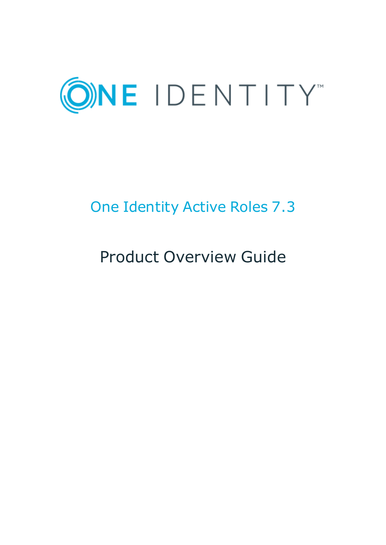

# One Identity Active Roles 7.3

# Product Overview Guide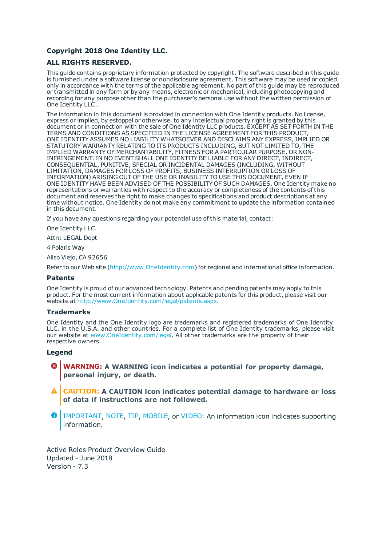#### **Copyright 2018 One Identity LLC.**

#### **ALL RIGHTS RESERVED.**

This guide contains proprietary information protected by copyright. The software described in this guide is furnished under a software license or nondisclosure agreement. This software may be used or copied only in accordance with the terms of the applicable agreement. No part of this guide may be reproduced or transmitted in any form or by any means, electronic or mechanical, including photocopying and recording for any purpose other than the purchaser's personal use without the written permission of One Identity LLC .

The information in this document is provided in connection with One Identity products. No license, express or implied, by estoppel or otherwise, to any intellectual property right is granted by this document or in connection with the sale of One Identity LLC products. EXCEPT AS SET FORTH IN THE TERMS AND CONDITIONS AS SPECIFIED IN THE LICENSE AGREEMENT FOR THIS PRODUCT, ONE IDENTITY ASSUMES NO LIABILITY WHATSOEVER AND DISCLAIMS ANY EXPRESS, IMPLIED OR STATUTORY WARRANTY RELATING TO ITS PRODUCTS INCLUDING, BUT NOT LIMITED TO, THE IMPLIED WARRANTY OF MERCHANTABILITY, FITNESS FOR A PARTICULAR PURPOSE, OR NON-INFRINGEMENT. IN NO EVENT SHALL ONE IDENTITY BE LIABLE FOR ANY DIRECT, INDIRECT, CONSEQUENTIAL, PUNITIVE, SPECIAL OR INCIDENTAL DAMAGES (INCLUDING, WITHOUT LIMITATION, DAMAGES FOR LOSS OF PROFITS, BUSINESS INTERRUPTION OR LOSS OF INFORMATION) ARISING OUT OF THE USE OR INABILITY TO USE THIS DOCUMENT, EVEN IF ONE IDENTITY HAVE BEEN ADVISED OF THE POSSIBILITY OF SUCH DAMAGES. One Identity make no representations or warranties with respect to the accuracy or completeness of the contents of this document and reserves the right to make changes to specifications and product descriptions at any time without notice. One Identity do not make any commitment to update the information contained in this document.

If you have any questions regarding your potential use of this material, contact:

One Identity LLC.

Attn: LEGAL Dept

4 Polaris Way

Aliso Viejo, CA 92656

Refer to our Web site ([http://www.OneIdentity.com](http://www.oneidentity.com/)) for regional and international office information.

#### **Patents**

One Identity is proud of our advanced technology. Patents and pending patents may apply to this product. For the most current information about applicable patents for this product, please visit our website at [http://www.OneIdentity.com/legal/patents.aspx](http://www.oneidentity.com/legal/patents.aspx).

#### **Trademarks**

One Identity and the One Identity logo are trademarks and registered trademarks of One Identity LLC. in the U.S.A. and other countries. For a complete list of One Identity trademarks, please visit our website at [www.OneIdentity.com/legal](http://www.oneidentity.com/legal). All other trademarks are the property of their respective owners.

#### **Legend**

- **WARNING: A WARNING icon indicates a potential for property damage, personal injury, or death.**
- **CAUTION: A CAUTION icon indicates potential damage to hardware or loss of data if instructions are not followed.**
- Œ IMPORTANT, NOTE, TIP, MOBILE, or VIDEO: An information icon indicates supporting information.

Active Roles Product Overview Guide Updated - June 2018 Version - 7.3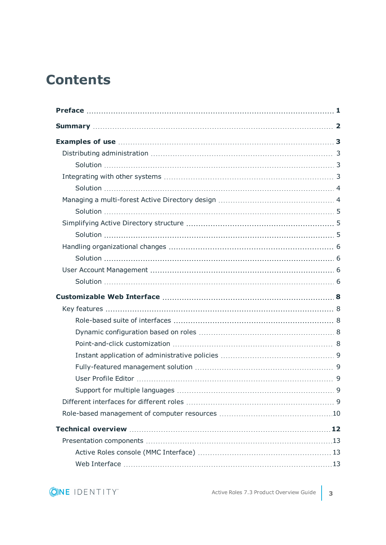## **Contents**

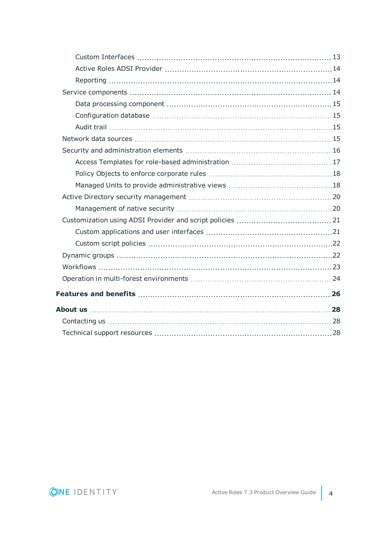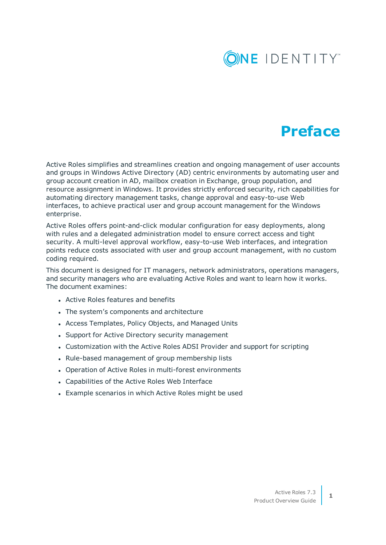

### **Preface**

<span id="page-4-0"></span>Active Roles simplifies and streamlines creation and ongoing management of user accounts and groups in Windows Active Directory (AD) centric environments by automating user and group account creation in AD, mailbox creation in Exchange, group population, and resource assignment in Windows. It provides strictly enforced security, rich capabilities for automating directory management tasks, change approval and easy-to-use Web interfaces, to achieve practical user and group account management for the Windows enterprise.

Active Roles offers point-and-click modular configuration for easy deployments, along with rules and a delegated administration model to ensure correct access and tight security. A multi-level approval workflow, easy-to-use Web interfaces, and integration points reduce costs associated with user and group account management, with no custom coding required.

This document is designed for IT managers, network administrators, operations managers, and security managers who are evaluating Active Roles and want to learn how it works. The document examines:

- Active Roles features and benefits
- The system's components and architecture
- Access Templates, Policy Objects, and Managed Units
- Support for Active Directory security management
- Customization with the Active Roles ADSI Provider and support for scripting
- Rule-based management of group membership lists
- Operation of Active Roles in multi-forest environments
- Capabilities of the Active Roles Web Interface
- Example scenarios in which Active Roles might be used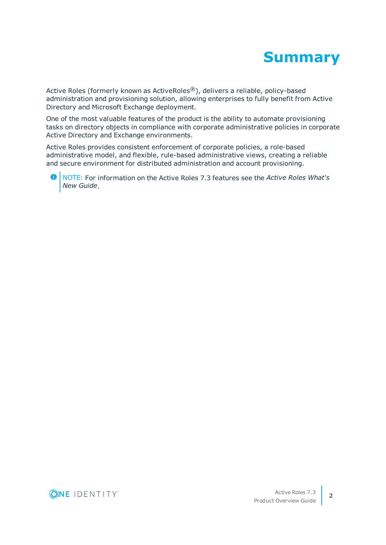

<span id="page-5-0"></span>Active Roles (formerly known as ActiveRoles®), delivers a reliable, policy-based administration and provisioning solution, allowing enterprises to fully benefit from Active Directory and Microsoft Exchange deployment.

One of the most valuable features of the product is the ability to automate provisioning tasks on directory objects in compliance with corporate administrative policies in corporate Active Directory and Exchange environments.

Active Roles provides consistent enforcement of corporate policies, a role-based administrative model, and flexible, rule-based administrative views, creating a reliable and secure environment for distributed administration and account provisioning.

NOTE: For information on the Active Roles 7.3 features see the *Active Roles What's New Guide*.

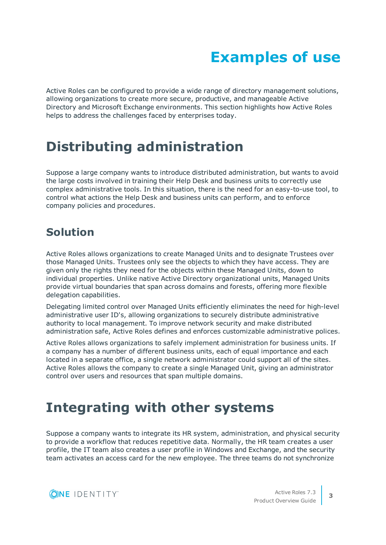# **Examples of use**

<span id="page-6-0"></span>Active Roles can be configured to provide a wide range of directory management solutions, allowing organizations to create more secure, productive, and manageable Active Directory and Microsoft Exchange environments. This section highlights how Active Roles helps to address the challenges faced by enterprises today.

### <span id="page-6-1"></span>**Distributing administration**

Suppose a large company wants to introduce distributed administration, but wants to avoid the large costs involved in training their Help Desk and business units to correctly use complex administrative tools. In this situation, there is the need for an easy-to-use tool, to control what actions the Help Desk and business units can perform, and to enforce company policies and procedures.

### <span id="page-6-2"></span>**Solution**

Active Roles allows organizations to create Managed Units and to designate Trustees over those Managed Units. Trustees only see the objects to which they have access. They are given only the rights they need for the objects within these Managed Units, down to individual properties. Unlike native Active Directory organizational units, Managed Units provide virtual boundaries that span across domains and forests, offering more flexible delegation capabilities.

Delegating limited control over Managed Units efficiently eliminates the need for high-level administrative user ID's, allowing organizations to securely distribute administrative authority to local management. To improve network security and make distributed administration safe, Active Roles defines and enforces customizable administrative polices.

Active Roles allows organizations to safely implement administration for business units. If a company has a number of different business units, each of equal importance and each located in a separate office, a single network administrator could support all of the sites. Active Roles allows the company to create a single Managed Unit, giving an administrator control over users and resources that span multiple domains.

## <span id="page-6-3"></span>**Integrating with other systems**

Suppose a company wants to integrate its HR system, administration, and physical security to provide a workflow that reduces repetitive data. Normally, the HR team creates a user profile, the IT team also creates a user profile in Windows and Exchange, and the security team activates an access card for the new employee. The three teams do not synchronize



**3**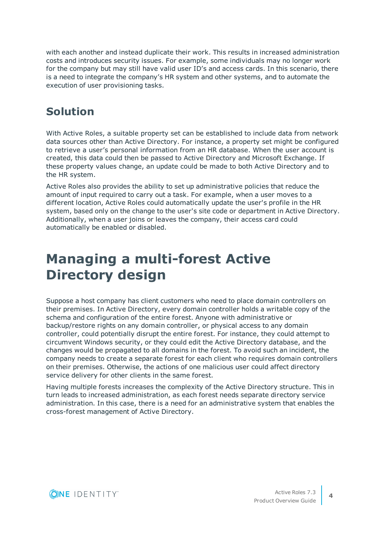with each another and instead duplicate their work. This results in increased administration costs and introduces security issues. For example, some individuals may no longer work for the company but may still have valid user ID's and access cards. In this scenario, there is a need to integrate the company's HR system and other systems, and to automate the execution of user provisioning tasks.

### <span id="page-7-0"></span>**Solution**

With Active Roles, a suitable property set can be established to include data from network data sources other than Active Directory. For instance, a property set might be configured to retrieve a user's personal information from an HR database. When the user account is created, this data could then be passed to Active Directory and Microsoft Exchange. If these property values change, an update could be made to both Active Directory and to the HR system.

Active Roles also provides the ability to set up administrative policies that reduce the amount of input required to carry out a task. For example, when a user moves to a different location, Active Roles could automatically update the user's profile in the HR system, based only on the change to the user's site code or department in Active Directory. Additionally, when a user joins or leaves the company, their access card could automatically be enabled or disabled.

## <span id="page-7-1"></span>**Managing a multi-forest Active Directory design**

Suppose a host company has client customers who need to place domain controllers on their premises. In Active Directory, every domain controller holds a writable copy of the schema and configuration of the entire forest. Anyone with administrative or backup/restore rights on any domain controller, or physical access to any domain controller, could potentially disrupt the entire forest. For instance, they could attempt to circumvent Windows security, or they could edit the Active Directory database, and the changes would be propagated to all domains in the forest. To avoid such an incident, the company needs to create a separate forest for each client who requires domain controllers on their premises. Otherwise, the actions of one malicious user could affect directory service delivery for other clients in the same forest.

Having multiple forests increases the complexity of the Active Directory structure. This in turn leads to increased administration, as each forest needs separate directory service administration. In this case, there is a need for an administrative system that enables the cross-forest management of Active Directory.

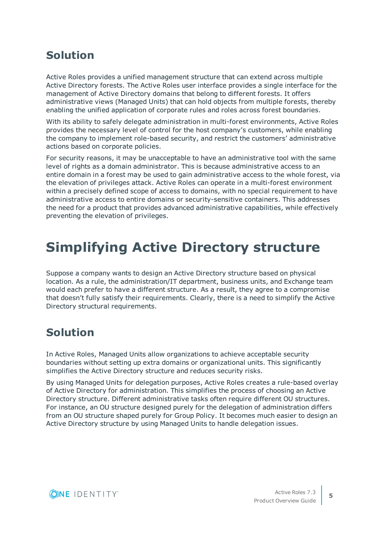### <span id="page-8-0"></span>**Solution**

Active Roles provides a unified management structure that can extend across multiple Active Directory forests. The Active Roles user interface provides a single interface for the management of Active Directory domains that belong to different forests. It offers administrative views (Managed Units) that can hold objects from multiple forests, thereby enabling the unified application of corporate rules and roles across forest boundaries.

With its ability to safely delegate administration in multi-forest environments, Active Roles provides the necessary level of control for the host company's customers, while enabling the company to implement role-based security, and restrict the customers' administrative actions based on corporate policies.

For security reasons, it may be unacceptable to have an administrative tool with the same level of rights as a domain administrator. This is because administrative access to an entire domain in a forest may be used to gain administrative access to the whole forest, via the elevation of privileges attack. Active Roles can operate in a multi-forest environment within a precisely defined scope of access to domains, with no special requirement to have administrative access to entire domains or security-sensitive containers. This addresses the need for a product that provides advanced administrative capabilities, while effectively preventing the elevation of privileges.

## <span id="page-8-1"></span>**Simplifying Active Directory structure**

Suppose a company wants to design an Active Directory structure based on physical location. As a rule, the administration/IT department, business units, and Exchange team would each prefer to have a different structure. As a result, they agree to a compromise that doesn't fully satisfy their requirements. Clearly, there is a need to simplify the Active Directory structural requirements.

### <span id="page-8-2"></span>**Solution**

In Active Roles, Managed Units allow organizations to achieve acceptable security boundaries without setting up extra domains or organizational units. This significantly simplifies the Active Directory structure and reduces security risks.

By using Managed Units for delegation purposes, Active Roles creates a rule-based overlay of Active Directory for administration. This simplifies the process of choosing an Active Directory structure. Different administrative tasks often require different OU structures. For instance, an OU structure designed purely for the delegation of administration differs from an OU structure shaped purely for Group Policy. It becomes much easier to design an Active Directory structure by using Managed Units to handle delegation issues.

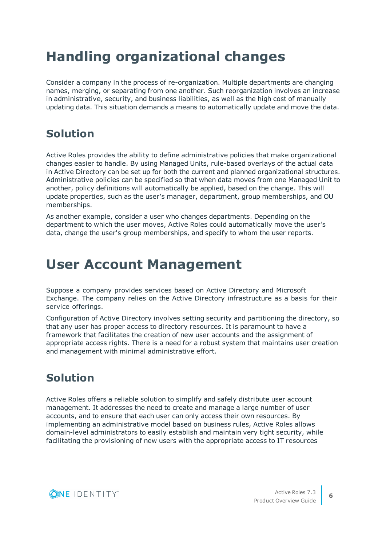## <span id="page-9-0"></span>**Handling organizational changes**

Consider a company in the process of re-organization. Multiple departments are changing names, merging, or separating from one another. Such reorganization involves an increase in administrative, security, and business liabilities, as well as the high cost of manually updating data. This situation demands a means to automatically update and move the data.

### <span id="page-9-1"></span>**Solution**

Active Roles provides the ability to define administrative policies that make organizational changes easier to handle. By using Managed Units, rule-based overlays of the actual data in Active Directory can be set up for both the current and planned organizational structures. Administrative policies can be specified so that when data moves from one Managed Unit to another, policy definitions will automatically be applied, based on the change. This will update properties, such as the user's manager, department, group memberships, and OU memberships.

As another example, consider a user who changes departments. Depending on the department to which the user moves, Active Roles could automatically move the user's data, change the user's group memberships, and specify to whom the user reports.

### <span id="page-9-2"></span>**User Account Management**

Suppose a company provides services based on Active Directory and Microsoft Exchange. The company relies on the Active Directory infrastructure as a basis for their service offerings.

Configuration of Active Directory involves setting security and partitioning the directory, so that any user has proper access to directory resources. It is paramount to have a framework that facilitates the creation of new user accounts and the assignment of appropriate access rights. There is a need for a robust system that maintains user creation and management with minimal administrative effort.

### <span id="page-9-3"></span>**Solution**

Active Roles offers a reliable solution to simplify and safely distribute user account management. It addresses the need to create and manage a large number of user accounts, and to ensure that each user can only access their own resources. By implementing an administrative model based on business rules, Active Roles allows domain-level administrators to easily establish and maintain very tight security, while facilitating the provisioning of new users with the appropriate access to IT resources

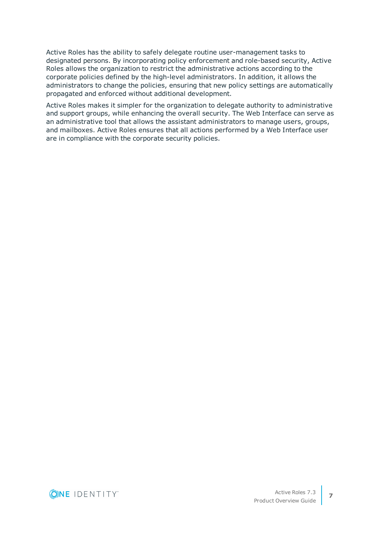Active Roles has the ability to safely delegate routine user-management tasks to designated persons. By incorporating policy enforcement and role-based security, Active Roles allows the organization to restrict the administrative actions according to the corporate policies defined by the high-level administrators. In addition, it allows the administrators to change the policies, ensuring that new policy settings are automatically propagated and enforced without additional development.

Active Roles makes it simpler for the organization to delegate authority to administrative and support groups, while enhancing the overall security. The Web Interface can serve as an administrative tool that allows the assistant administrators to manage users, groups, and mailboxes. Active Roles ensures that all actions performed by a Web Interface user are in compliance with the corporate security policies.

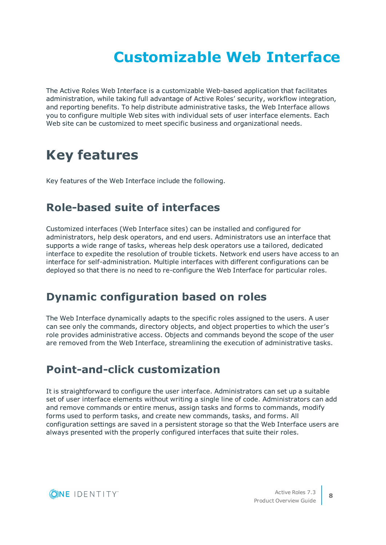# **Customizable Web Interface**

<span id="page-11-0"></span>The Active Roles Web Interface is a customizable Web-based application that facilitates administration, while taking full advantage of Active Roles' security, workflow integration, and reporting benefits. To help distribute administrative tasks, the Web Interface allows you to configure multiple Web sites with individual sets of user interface elements. Each Web site can be customized to meet specific business and organizational needs.

### <span id="page-11-1"></span>**Key features**

<span id="page-11-2"></span>Key features of the Web Interface include the following.

#### **Role-based suite of interfaces**

Customized interfaces (Web Interface sites) can be installed and configured for administrators, help desk operators, and end users. Administrators use an interface that supports a wide range of tasks, whereas help desk operators use a tailored, dedicated interface to expedite the resolution of trouble tickets. Network end users have access to an interface for self-administration. Multiple interfaces with different configurations can be deployed so that there is no need to re-configure the Web Interface for particular roles.

#### <span id="page-11-3"></span>**Dynamic configuration based on roles**

The Web Interface dynamically adapts to the specific roles assigned to the users. A user can see only the commands, directory objects, and object properties to which the user's role provides administrative access. Objects and commands beyond the scope of the user are removed from the Web Interface, streamlining the execution of administrative tasks.

### <span id="page-11-4"></span>**Point-and-click customization**

It is straightforward to configure the user interface. Administrators can set up a suitable set of user interface elements without writing a single line of code. Administrators can add and remove commands or entire menus, assign tasks and forms to commands, modify forms used to perform tasks, and create new commands, tasks, and forms. All configuration settings are saved in a persistent storage so that the Web Interface users are always presented with the properly configured interfaces that suite their roles.

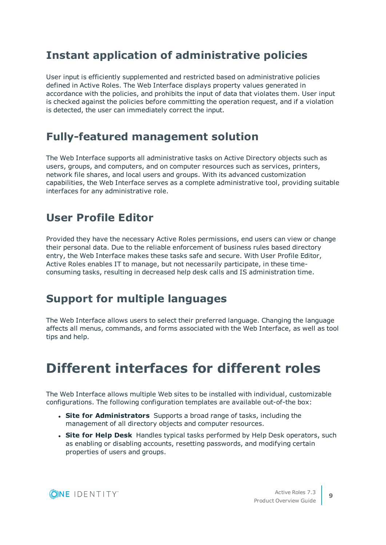#### <span id="page-12-0"></span>**Instant application of administrative policies**

User input is efficiently supplemented and restricted based on administrative policies defined in Active Roles. The Web Interface displays property values generated in accordance with the policies, and prohibits the input of data that violates them. User input is checked against the policies before committing the operation request, and if a violation is detected, the user can immediately correct the input.

### <span id="page-12-1"></span>**Fully-featured management solution**

The Web Interface supports all administrative tasks on Active Directory objects such as users, groups, and computers, and on computer resources such as services, printers, network file shares, and local users and groups. With its advanced customization capabilities, the Web Interface serves as a complete administrative tool, providing suitable interfaces for any administrative role.

### <span id="page-12-2"></span>**User Profile Editor**

Provided they have the necessary Active Roles permissions, end users can view or change their personal data. Due to the reliable enforcement of business rules based directory entry, the Web Interface makes these tasks safe and secure. With User Profile Editor, Active Roles enables IT to manage, but not necessarily participate, in these timeconsuming tasks, resulting in decreased help desk calls and IS administration time.

### <span id="page-12-3"></span>**Support for multiple languages**

The Web Interface allows users to select their preferred language. Changing the language affects all menus, commands, and forms associated with the Web Interface, as well as tool tips and help.

### <span id="page-12-4"></span>**Different interfaces for different roles**

The Web Interface allows multiple Web sites to be installed with individual, customizable configurations. The following configuration templates are available out-of-the box:

- <sup>l</sup> **Site for Administrators** Supports a broad range of tasks, including the management of all directory objects and computer resources.
- **. Site for Help Desk** Handles typical tasks performed by Help Desk operators, such as enabling or disabling accounts, resetting passwords, and modifying certain properties of users and groups.

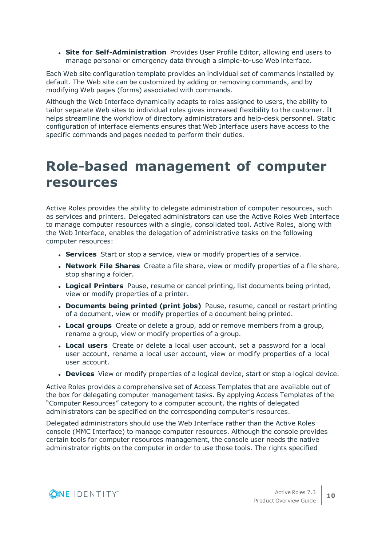<sup>l</sup> **Site for Self-Administration** Provides User Profile Editor, allowing end users to manage personal or emergency data through a simple-to-use Web interface.

Each Web site configuration template provides an individual set of commands installed by default. The Web site can be customized by adding or removing commands, and by modifying Web pages (forms) associated with commands.

Although the Web Interface dynamically adapts to roles assigned to users, the ability to tailor separate Web sites to individual roles gives increased flexibility to the customer. It helps streamline the workflow of directory administrators and help-desk personnel. Static configuration of interface elements ensures that Web Interface users have access to the specific commands and pages needed to perform their duties.

### <span id="page-13-0"></span>**Role-based management of computer resources**

Active Roles provides the ability to delegate administration of computer resources, such as services and printers. Delegated administrators can use the Active Roles Web Interface to manage computer resources with a single, consolidated tool. Active Roles, along with the Web Interface, enables the delegation of administrative tasks on the following computer resources:

- **Services** Start or stop a service, view or modify properties of a service.
- <sup>l</sup> **Network File Shares** Create a file share, view or modify properties of a file share, stop sharing a folder.
- **Logical Printers** Pause, resume or cancel printing, list documents being printed, view or modify properties of a printer.
- <sup>l</sup> **Documents being printed (print jobs)** Pause, resume, cancel or restart printing of a document, view or modify properties of a document being printed.
- **Local groups** Create or delete a group, add or remove members from a group, rename a group, view or modify properties of a group.
- **Local users** Create or delete a local user account, set a password for a local user account, rename a local user account, view or modify properties of a local user account.
- **. Devices** View or modify properties of a logical device, start or stop a logical device.

Active Roles provides a comprehensive set of Access Templates that are available out of the box for delegating computer management tasks. By applying Access Templates of the "Computer Resources" category to a computer account, the rights of delegated administrators can be specified on the corresponding computer's resources.

Delegated administrators should use the Web Interface rather than the Active Roles console (MMC Interface) to manage computer resources. Although the console provides certain tools for computer resources management, the console user needs the native administrator rights on the computer in order to use those tools. The rights specified

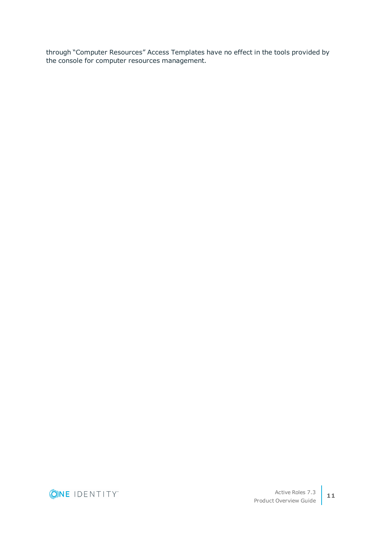through "Computer Resources" Access Templates have no effect in the tools provided by the console for computer resources management.

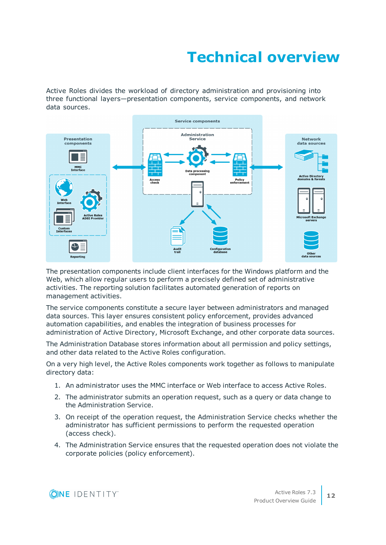# **Technical overview**

<span id="page-15-0"></span>Active Roles divides the workload of directory administration and provisioning into three functional layers—presentation components, service components, and network data sources.



The presentation components include client interfaces for the Windows platform and the Web, which allow regular users to perform a precisely defined set of administrative activities. The reporting solution facilitates automated generation of reports on management activities.

The service components constitute a secure layer between administrators and managed data sources. This layer ensures consistent policy enforcement, provides advanced automation capabilities, and enables the integration of business processes for administration of Active Directory, Microsoft Exchange, and other corporate data sources.

The Administration Database stores information about all permission and policy settings, and other data related to the Active Roles configuration.

On a very high level, the Active Roles components work together as follows to manipulate directory data:

- 1. An administrator uses the MMC interface or Web interface to access Active Roles.
- 2. The administrator submits an operation request, such as a query or data change to the Administration Service.
- 3. On receipt of the operation request, the Administration Service checks whether the administrator has sufficient permissions to perform the requested operation (access check).
- 4. The Administration Service ensures that the requested operation does not violate the corporate policies (policy enforcement).

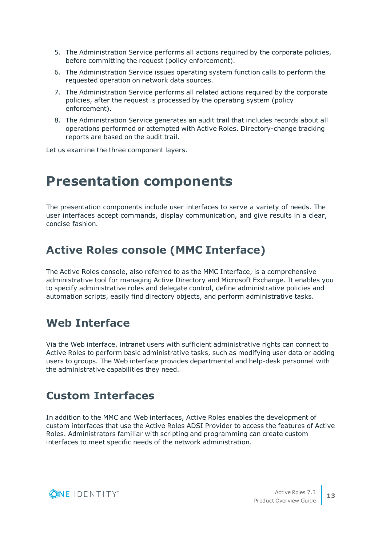- 5. The Administration Service performs all actions required by the corporate policies, before committing the request (policy enforcement).
- 6. The Administration Service issues operating system function calls to perform the requested operation on network data sources.
- 7. The Administration Service performs all related actions required by the corporate policies, after the request is processed by the operating system (policy enforcement).
- 8. The Administration Service generates an audit trail that includes records about all operations performed or attempted with Active Roles. Directory-change tracking reports are based on the audit trail.

<span id="page-16-0"></span>Let us examine the three component layers.

### **Presentation components**

The presentation components include user interfaces to serve a variety of needs. The user interfaces accept commands, display communication, and give results in a clear, concise fashion.

### <span id="page-16-1"></span>**Active Roles console (MMC Interface)**

The Active Roles console, also referred to as the MMC Interface, is a comprehensive administrative tool for managing Active Directory and Microsoft Exchange. It enables you to specify administrative roles and delegate control, define administrative policies and automation scripts, easily find directory objects, and perform administrative tasks.

#### <span id="page-16-2"></span>**Web Interface**

Via the Web interface, intranet users with sufficient administrative rights can connect to Active Roles to perform basic administrative tasks, such as modifying user data or adding users to groups. The Web interface provides departmental and help-desk personnel with the administrative capabilities they need.

#### <span id="page-16-3"></span>**Custom Interfaces**

In addition to the MMC and Web interfaces, Active Roles enables the development of custom interfaces that use the Active Roles ADSI Provider to access the features of Active Roles. Administrators familiar with scripting and programming can create custom interfaces to meet specific needs of the network administration.

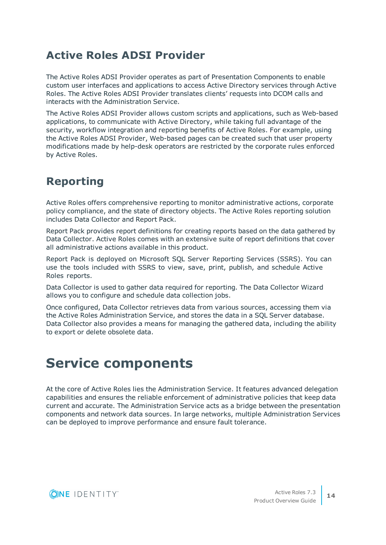### <span id="page-17-0"></span>**Active Roles ADSI Provider**

The Active Roles ADSI Provider operates as part of Presentation Components to enable custom user interfaces and applications to access Active Directory services through Active Roles. The Active Roles ADSI Provider translates clients' requests into DCOM calls and interacts with the Administration Service.

The Active Roles ADSI Provider allows custom scripts and applications, such as Web-based applications, to communicate with Active Directory, while taking full advantage of the security, workflow integration and reporting benefits of Active Roles. For example, using the Active Roles ADSI Provider, Web-based pages can be created such that user property modifications made by help-desk operators are restricted by the corporate rules enforced by Active Roles.

### <span id="page-17-1"></span>**Reporting**

Active Roles offers comprehensive reporting to monitor administrative actions, corporate policy compliance, and the state of directory objects. The Active Roles reporting solution includes Data Collector and Report Pack.

Report Pack provides report definitions for creating reports based on the data gathered by Data Collector. Active Roles comes with an extensive suite of report definitions that cover all administrative actions available in this product.

Report Pack is deployed on Microsoft SQL Server Reporting Services (SSRS). You can use the tools included with SSRS to view, save, print, publish, and schedule Active Roles reports.

Data Collector is used to gather data required for reporting. The Data Collector Wizard allows you to configure and schedule data collection jobs.

Once configured, Data Collector retrieves data from various sources, accessing them via the Active Roles Administration Service, and stores the data in a SQL Server database. Data Collector also provides a means for managing the gathered data, including the ability to export or delete obsolete data.

## <span id="page-17-2"></span>**Service components**

At the core of Active Roles lies the Administration Service. It features advanced delegation capabilities and ensures the reliable enforcement of administrative policies that keep data current and accurate. The Administration Service acts as a bridge between the presentation components and network data sources. In large networks, multiple Administration Services can be deployed to improve performance and ensure fault tolerance.

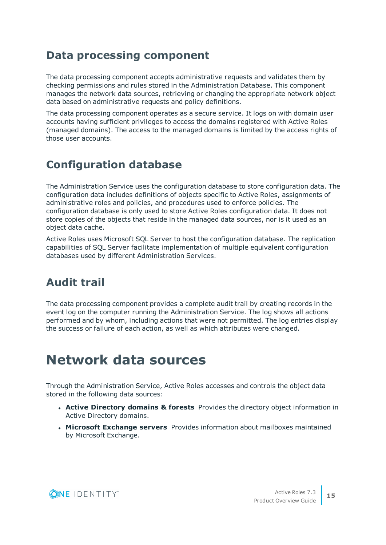#### <span id="page-18-0"></span>**Data processing component**

The data processing component accepts administrative requests and validates them by checking permissions and rules stored in the Administration Database. This component manages the network data sources, retrieving or changing the appropriate network object data based on administrative requests and policy definitions.

The data processing component operates as a secure service. It logs on with domain user accounts having sufficient privileges to access the domains registered with Active Roles (managed domains). The access to the managed domains is limited by the access rights of those user accounts.

### <span id="page-18-1"></span>**Configuration database**

The Administration Service uses the configuration database to store configuration data. The configuration data includes definitions of objects specific to Active Roles, assignments of administrative roles and policies, and procedures used to enforce policies. The configuration database is only used to store Active Roles configuration data. It does not store copies of the objects that reside in the managed data sources, nor is it used as an object data cache.

Active Roles uses Microsoft SQL Server to host the configuration database. The replication capabilities of SQL Server facilitate implementation of multiple equivalent configuration databases used by different Administration Services.

### <span id="page-18-2"></span>**Audit trail**

The data processing component provides a complete audit trail by creating records in the event log on the computer running the Administration Service. The log shows all actions performed and by whom, including actions that were not permitted. The log entries display the success or failure of each action, as well as which attributes were changed.

### <span id="page-18-3"></span>**Network data sources**

Through the Administration Service, Active Roles accesses and controls the object data stored in the following data sources:

- <sup>l</sup> **Active Directory domains & forests** Provides the directory object information in Active Directory domains.
- <sup>l</sup> **Microsoft Exchange servers** Provides information about mailboxes maintained by Microsoft Exchange.

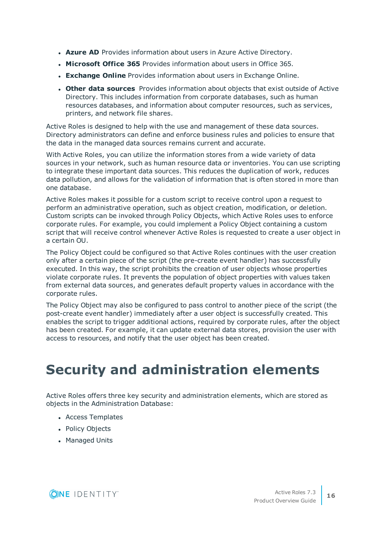- **Azure AD** Provides information about users in Azure Active Directory.
- **. Microsoft Office 365** Provides information about users in Office 365.
- **Exchange Online** Provides information about users in Exchange Online.
- <sup>l</sup> **Other data sources** Provides information about objects that exist outside of Active Directory. This includes information from corporate databases, such as human resources databases, and information about computer resources, such as services, printers, and network file shares.

Active Roles is designed to help with the use and management of these data sources. Directory administrators can define and enforce business rules and policies to ensure that the data in the managed data sources remains current and accurate.

With Active Roles, you can utilize the information stores from a wide variety of data sources in your network, such as human resource data or inventories. You can use scripting to integrate these important data sources. This reduces the duplication of work, reduces data pollution, and allows for the validation of information that is often stored in more than one database.

Active Roles makes it possible for a custom script to receive control upon a request to perform an administrative operation, such as object creation, modification, or deletion. Custom scripts can be invoked through Policy Objects, which Active Roles uses to enforce corporate rules. For example, you could implement a Policy Object containing a custom script that will receive control whenever Active Roles is requested to create a user object in a certain OU.

The Policy Object could be configured so that Active Roles continues with the user creation only after a certain piece of the script (the pre-create event handler) has successfully executed. In this way, the script prohibits the creation of user objects whose properties violate corporate rules. It prevents the population of object properties with values taken from external data sources, and generates default property values in accordance with the corporate rules.

The Policy Object may also be configured to pass control to another piece of the script (the post-create event handler) immediately after a user object is successfully created. This enables the script to trigger additional actions, required by corporate rules, after the object has been created. For example, it can update external data stores, provision the user with access to resources, and notify that the user object has been created.

## <span id="page-19-0"></span>**Security and administration elements**

Active Roles offers three key security and administration elements, which are stored as objects in the Administration Database:

- Access Templates
- Policy Objects
- Managed Units

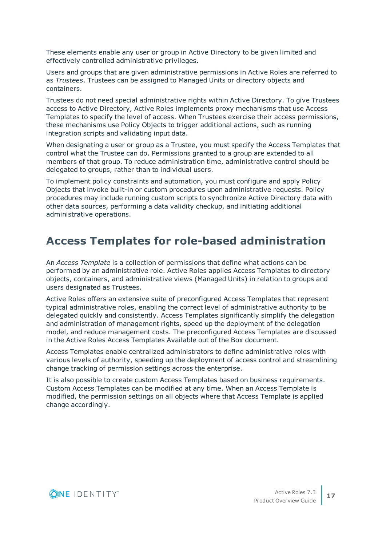These elements enable any user or group in Active Directory to be given limited and effectively controlled administrative privileges.

Users and groups that are given administrative permissions in Active Roles are referred to as *Trustees*. Trustees can be assigned to Managed Units or directory objects and containers.

Trustees do not need special administrative rights within Active Directory. To give Trustees access to Active Directory, Active Roles implements proxy mechanisms that use Access Templates to specify the level of access. When Trustees exercise their access permissions, these mechanisms use Policy Objects to trigger additional actions, such as running integration scripts and validating input data.

When designating a user or group as a Trustee, you must specify the Access Templates that control what the Trustee can do. Permissions granted to a group are extended to all members of that group. To reduce administration time, administrative control should be delegated to groups, rather than to individual users.

To implement policy constraints and automation, you must configure and apply Policy Objects that invoke built-in or custom procedures upon administrative requests. Policy procedures may include running custom scripts to synchronize Active Directory data with other data sources, performing a data validity checkup, and initiating additional administrative operations.

#### <span id="page-20-0"></span>**Access Templates for role-based administration**

An *Access Template* is a collection of permissions that define what actions can be performed by an administrative role. Active Roles applies Access Templates to directory objects, containers, and administrative views (Managed Units) in relation to groups and users designated as Trustees.

Active Roles offers an extensive suite of preconfigured Access Templates that represent typical administrative roles, enabling the correct level of administrative authority to be delegated quickly and consistently. Access Templates significantly simplify the delegation and administration of management rights, speed up the deployment of the delegation model, and reduce management costs. The preconfigured Access Templates are discussed in the Active Roles Access Templates Available out of the Box document.

Access Templates enable centralized administrators to define administrative roles with various levels of authority, speeding up the deployment of access control and streamlining change tracking of permission settings across the enterprise.

It is also possible to create custom Access Templates based on business requirements. Custom Access Templates can be modified at any time. When an Access Template is modified, the permission settings on all objects where that Access Template is applied change accordingly.

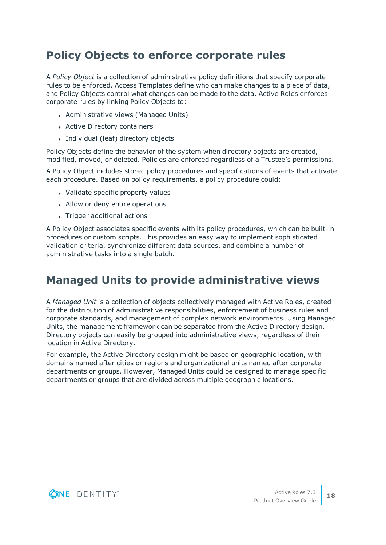### <span id="page-21-0"></span>**Policy Objects to enforce corporate rules**

A *Policy Object* is a collection of administrative policy definitions that specify corporate rules to be enforced. Access Templates define who can make changes to a piece of data, and Policy Objects control what changes can be made to the data. Active Roles enforces corporate rules by linking Policy Objects to:

- Administrative views (Managed Units)
- Active Directory containers
- Individual (leaf) directory objects

Policy Objects define the behavior of the system when directory objects are created, modified, moved, or deleted. Policies are enforced regardless of a Trustee's permissions.

A Policy Object includes stored policy procedures and specifications of events that activate each procedure. Based on policy requirements, a policy procedure could:

- Validate specific property values
- Allow or deny entire operations
- Trigger additional actions

A Policy Object associates specific events with its policy procedures, which can be built-in procedures or custom scripts. This provides an easy way to implement sophisticated validation criteria, synchronize different data sources, and combine a number of administrative tasks into a single batch.

#### <span id="page-21-1"></span>**Managed Units to provide administrative views**

A *Managed Unit* is a collection of objects collectively managed with Active Roles, created for the distribution of administrative responsibilities, enforcement of business rules and corporate standards, and management of complex network environments. Using Managed Units, the management framework can be separated from the Active Directory design. Directory objects can easily be grouped into administrative views, regardless of their location in Active Directory.

For example, the Active Directory design might be based on geographic location, with domains named after cities or regions and organizational units named after corporate departments or groups. However, Managed Units could be designed to manage specific departments or groups that are divided across multiple geographic locations.

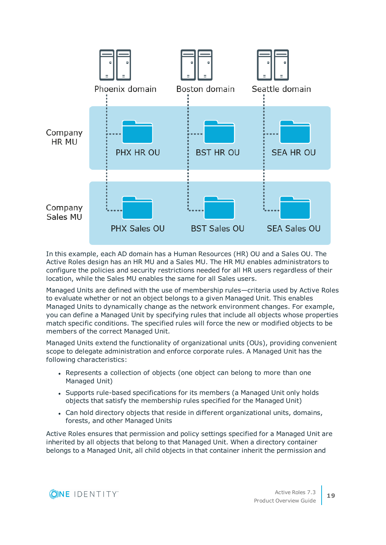

In this example, each AD domain has a Human Resources (HR) OU and a Sales OU. The Active Roles design has an HR MU and a Sales MU. The HR MU enables administrators to configure the policies and security restrictions needed for all HR users regardless of their location, while the Sales MU enables the same for all Sales users.

Managed Units are defined with the use of membership rules—criteria used by Active Roles to evaluate whether or not an object belongs to a given Managed Unit. This enables Managed Units to dynamically change as the network environment changes. For example, you can define a Managed Unit by specifying rules that include all objects whose properties match specific conditions. The specified rules will force the new or modified objects to be members of the correct Managed Unit.

Managed Units extend the functionality of organizational units (OUs), providing convenient scope to delegate administration and enforce corporate rules. A Managed Unit has the following characteristics:

- Represents a collection of objects (one object can belong to more than one Managed Unit)
- Supports rule-based specifications for its members (a Managed Unit only holds objects that satisfy the membership rules specified for the Managed Unit)
- <sup>l</sup> Can hold directory objects that reside in different organizational units, domains, forests, and other Managed Units

Active Roles ensures that permission and policy settings specified for a Managed Unit are inherited by all objects that belong to that Managed Unit. When a directory container belongs to a Managed Unit, all child objects in that container inherit the permission and

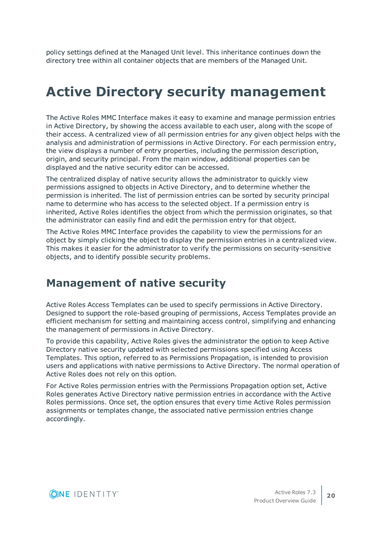policy settings defined at the Managed Unit level. This inheritance continues down the directory tree within all container objects that are members of the Managed Unit.

## <span id="page-23-0"></span>**Active Directory security management**

The Active Roles MMC Interface makes it easy to examine and manage permission entries in Active Directory, by showing the access available to each user, along with the scope of their access. A centralized view of all permission entries for any given object helps with the analysis and administration of permissions in Active Directory. For each permission entry, the view displays a number of entry properties, including the permission description, origin, and security principal. From the main window, additional properties can be displayed and the native security editor can be accessed.

The centralized display of native security allows the administrator to quickly view permissions assigned to objects in Active Directory, and to determine whether the permission is inherited. The list of permission entries can be sorted by security principal name to determine who has access to the selected object. If a permission entry is inherited, Active Roles identifies the object from which the permission originates, so that the administrator can easily find and edit the permission entry for that object.

The Active Roles MMC Interface provides the capability to view the permissions for an object by simply clicking the object to display the permission entries in a centralized view. This makes it easier for the administrator to verify the permissions on security-sensitive objects, and to identify possible security problems.

#### <span id="page-23-1"></span>**Management of native security**

Active Roles Access Templates can be used to specify permissions in Active Directory. Designed to support the role-based grouping of permissions, Access Templates provide an efficient mechanism for setting and maintaining access control, simplifying and enhancing the management of permissions in Active Directory.

To provide this capability, Active Roles gives the administrator the option to keep Active Directory native security updated with selected permissions specified using Access Templates. This option, referred to as Permissions Propagation, is intended to provision users and applications with native permissions to Active Directory. The normal operation of Active Roles does not rely on this option.

For Active Roles permission entries with the Permissions Propagation option set, Active Roles generates Active Directory native permission entries in accordance with the Active Roles permissions. Once set, the option ensures that every time Active Roles permission assignments or templates change, the associated native permission entries change accordingly.

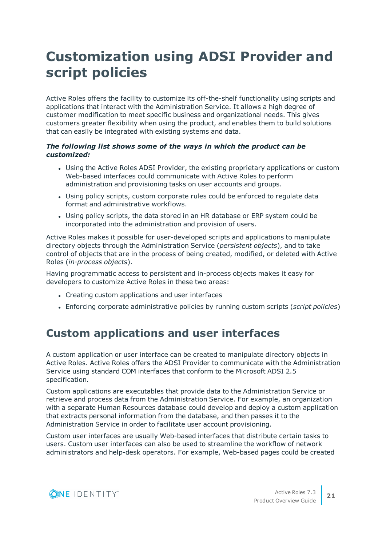## <span id="page-24-0"></span>**Customization using ADSI Provider and script policies**

Active Roles offers the facility to customize its off-the-shelf functionality using scripts and applications that interact with the Administration Service. It allows a high degree of customer modification to meet specific business and organizational needs. This gives customers greater flexibility when using the product, and enables them to build solutions that can easily be integrated with existing systems and data.

#### *The following list shows some of the ways in which the product can be customized:*

- Using the Active Roles ADSI Provider, the existing proprietary applications or custom Web-based interfaces could communicate with Active Roles to perform administration and provisioning tasks on user accounts and groups.
- Using policy scripts, custom corporate rules could be enforced to regulate data format and administrative workflows.
- Using policy scripts, the data stored in an HR database or ERP system could be incorporated into the administration and provision of users.

Active Roles makes it possible for user-developed scripts and applications to manipulate directory objects through the Administration Service (*persistent objects*), and to take control of objects that are in the process of being created, modified, or deleted with Active Roles (*in-process objects*).

Having programmatic access to persistent and in-process objects makes it easy for developers to customize Active Roles in these two areas:

- Creating custom applications and user interfaces
- <sup>l</sup> Enforcing corporate administrative policies by running custom scripts (*script policies*)

### <span id="page-24-1"></span>**Custom applications and user interfaces**

A custom application or user interface can be created to manipulate directory objects in Active Roles. Active Roles offers the ADSI Provider to communicate with the Administration Service using standard COM interfaces that conform to the Microsoft ADSI 2.5 specification.

Custom applications are executables that provide data to the Administration Service or retrieve and process data from the Administration Service. For example, an organization with a separate Human Resources database could develop and deploy a custom application that extracts personal information from the database, and then passes it to the Administration Service in order to facilitate user account provisioning.

Custom user interfaces are usually Web-based interfaces that distribute certain tasks to users. Custom user interfaces can also be used to streamline the workflow of network administrators and help-desk operators. For example, Web-based pages could be created

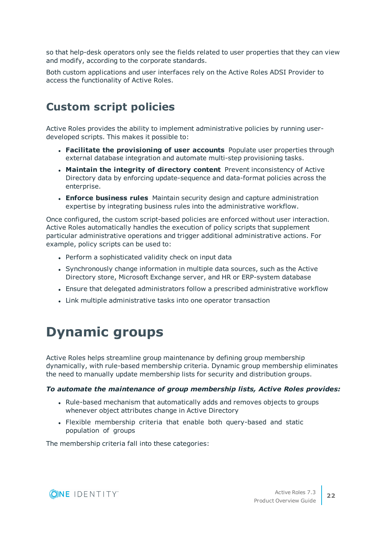so that help-desk operators only see the fields related to user properties that they can view and modify, according to the corporate standards.

Both custom applications and user interfaces rely on the Active Roles ADSI Provider to access the functionality of Active Roles.

### <span id="page-25-0"></span>**Custom script policies**

Active Roles provides the ability to implement administrative policies by running userdeveloped scripts. This makes it possible to:

- <sup>l</sup> **Facilitate the provisioning of user accounts** Populate user properties through external database integration and automate multi-step provisioning tasks.
- <sup>l</sup> **Maintain the integrity of directory content** Prevent inconsistency of Active Directory data by enforcing update-sequence and data-format policies across the enterprise.
- <sup>l</sup> **Enforce business rules** Maintain security design and capture administration expertise by integrating business rules into the administrative workflow.

Once configured, the custom script-based policies are enforced without user interaction. Active Roles automatically handles the execution of policy scripts that supplement particular administrative operations and trigger additional administrative actions. For example, policy scripts can be used to:

- Perform a sophisticated validity check on input data
- Synchronously change information in multiple data sources, such as the Active Directory store, Microsoft Exchange server, and HR or ERP-system database
- <sup>l</sup> Ensure that delegated administrators follow a prescribed administrative workflow
- <span id="page-25-1"></span>• Link multiple administrative tasks into one operator transaction

## **Dynamic groups**

Active Roles helps streamline group maintenance by defining group membership dynamically, with rule-based membership criteria. Dynamic group membership eliminates the need to manually update membership lists for security and distribution groups.

#### *To automate the maintenance of group membership lists, Active Roles provides:*

- Rule-based mechanism that automatically adds and removes objects to groups whenever object attributes change in Active Directory
- Flexible membership criteria that enable both query-based and static population of groups

The membership criteria fall into these categories:

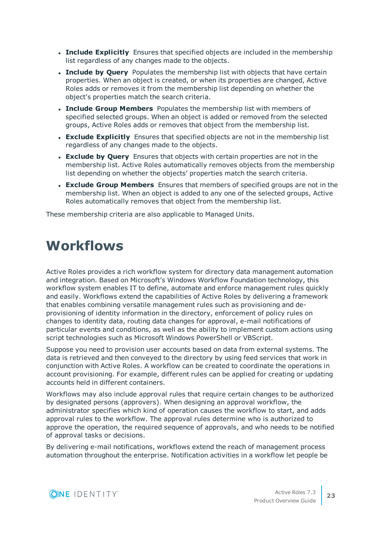- **Include Explicitly** Ensures that specified objects are included in the membership list regardless of any changes made to the objects.
- **. Include by Query** Populates the membership list with objects that have certain properties. When an object is created, or when its properties are changed, Active Roles adds or removes it from the membership list depending on whether the object's properties match the search criteria.
- <sup>l</sup> **Include Group Members** Populates the membership list with members of specified selected groups. When an object is added or removed from the selected groups, Active Roles adds or removes that object from the membership list.
- **Exclude Explicitly** Ensures that specified objects are not in the membership list regardless of any changes made to the objects.
- <sup>l</sup> **Exclude by Query** Ensures that objects with certain properties are not in the membership list. Active Roles automatically removes objects from the membership list depending on whether the objects' properties match the search criteria.
- <sup>l</sup> **Exclude Group Members** Ensures that members of specified groups are not in the membership list. When an object is added to any one of the selected groups, Active Roles automatically removes that object from the membership list.

<span id="page-26-0"></span>These membership criteria are also applicable to Managed Units.

### **Workflows**

Active Roles provides a rich workflow system for directory data management automation and integration. Based on Microsoft's Windows Workflow Foundation technology, this workflow system enables IT to define, automate and enforce management rules quickly and easily. Workflows extend the capabilities of Active Roles by delivering a framework that enables combining versatile management rules such as provisioning and deprovisioning of identity information in the directory, enforcement of policy rules on changes to identity data, routing data changes for approval, e-mail notifications of particular events and conditions, as well as the ability to implement custom actions using script technologies such as Microsoft Windows PowerShell or VBScript.

Suppose you need to provision user accounts based on data from external systems. The data is retrieved and then conveyed to the directory by using feed services that work in conjunction with Active Roles. A workflow can be created to coordinate the operations in account provisioning. For example, different rules can be applied for creating or updating accounts held in different containers.

Workflows may also include approval rules that require certain changes to be authorized by designated persons (approvers). When designing an approval workflow, the administrator specifies which kind of operation causes the workflow to start, and adds approval rules to the workflow. The approval rules determine who is authorized to approve the operation, the required sequence of approvals, and who needs to be notified of approval tasks or decisions.

By delivering e-mail notifications, workflows extend the reach of management process automation throughout the enterprise. Notification activities in a workflow let people be

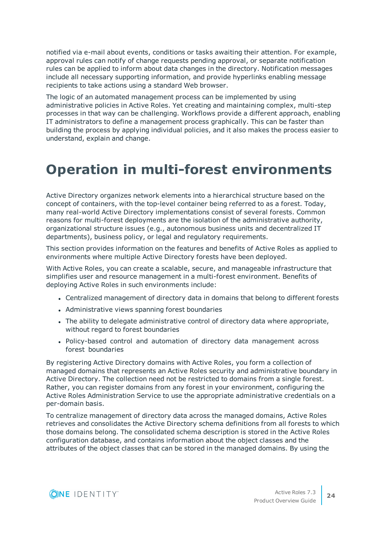notified via e-mail about events, conditions or tasks awaiting their attention. For example, approval rules can notify of change requests pending approval, or separate notification rules can be applied to inform about data changes in the directory. Notification messages include all necessary supporting information, and provide hyperlinks enabling message recipients to take actions using a standard Web browser.

The logic of an automated management process can be implemented by using administrative policies in Active Roles. Yet creating and maintaining complex, multi-step processes in that way can be challenging. Workflows provide a different approach, enabling IT administrators to define a management process graphically. This can be faster than building the process by applying individual policies, and it also makes the process easier to understand, explain and change.

### <span id="page-27-0"></span>**Operation in multi-forest environments**

Active Directory organizes network elements into a hierarchical structure based on the concept of containers, with the top-level container being referred to as a forest. Today, many real-world Active Directory implementations consist of several forests. Common reasons for multi-forest deployments are the isolation of the administrative authority, organizational structure issues (e.g., autonomous business units and decentralized IT departments), business policy, or legal and regulatory requirements.

This section provides information on the features and benefits of Active Roles as applied to environments where multiple Active Directory forests have been deployed.

With Active Roles, you can create a scalable, secure, and manageable infrastructure that simplifies user and resource management in a multi-forest environment. Benefits of deploying Active Roles in such environments include:

- Centralized management of directory data in domains that belong to different forests
- Administrative views spanning forest boundaries
- The ability to delegate administrative control of directory data where appropriate, without regard to forest boundaries
- Policy-based control and automation of directory data management across forest boundaries

By registering Active Directory domains with Active Roles, you form a collection of managed domains that represents an Active Roles security and administrative boundary in Active Directory. The collection need not be restricted to domains from a single forest. Rather, you can register domains from any forest in your environment, configuring the Active Roles Administration Service to use the appropriate administrative credentials on a per-domain basis.

To centralize management of directory data across the managed domains, Active Roles retrieves and consolidates the Active Directory schema definitions from all forests to which those domains belong. The consolidated schema description is stored in the Active Roles configuration database, and contains information about the object classes and the attributes of the object classes that can be stored in the managed domains. By using the

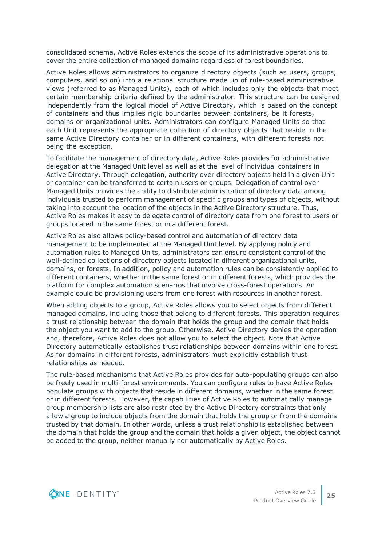consolidated schema, Active Roles extends the scope of its administrative operations to cover the entire collection of managed domains regardless of forest boundaries.

Active Roles allows administrators to organize directory objects (such as users, groups, computers, and so on) into a relational structure made up of rule-based administrative views (referred to as Managed Units), each of which includes only the objects that meet certain membership criteria defined by the administrator. This structure can be designed independently from the logical model of Active Directory, which is based on the concept of containers and thus implies rigid boundaries between containers, be it forests, domains or organizational units. Administrators can configure Managed Units so that each Unit represents the appropriate collection of directory objects that reside in the same Active Directory container or in different containers, with different forests not being the exception.

To facilitate the management of directory data, Active Roles provides for administrative delegation at the Managed Unit level as well as at the level of individual containers in Active Directory. Through delegation, authority over directory objects held in a given Unit or container can be transferred to certain users or groups. Delegation of control over Managed Units provides the ability to distribute administration of directory data among individuals trusted to perform management of specific groups and types of objects, without taking into account the location of the objects in the Active Directory structure. Thus, Active Roles makes it easy to delegate control of directory data from one forest to users or groups located in the same forest or in a different forest.

Active Roles also allows policy-based control and automation of directory data management to be implemented at the Managed Unit level. By applying policy and automation rules to Managed Units, administrators can ensure consistent control of the well-defined collections of directory objects located in different organizational units, domains, or forests. In addition, policy and automation rules can be consistently applied to different containers, whether in the same forest or in different forests, which provides the platform for complex automation scenarios that involve cross-forest operations. An example could be provisioning users from one forest with resources in another forest.

When adding objects to a group, Active Roles allows you to select objects from different managed domains, including those that belong to different forests. This operation requires a trust relationship between the domain that holds the group and the domain that holds the object you want to add to the group. Otherwise, Active Directory denies the operation and, therefore, Active Roles does not allow you to select the object. Note that Active Directory automatically establishes trust relationships between domains within one forest. As for domains in different forests, administrators must explicitly establish trust relationships as needed.

The rule-based mechanisms that Active Roles provides for auto-populating groups can also be freely used in multi-forest environments. You can configure rules to have Active Roles populate groups with objects that reside in different domains, whether in the same forest or in different forests. However, the capabilities of Active Roles to automatically manage group membership lists are also restricted by the Active Directory constraints that only allow a group to include objects from the domain that holds the group or from the domains trusted by that domain. In other words, unless a trust relationship is established between the domain that holds the group and the domain that holds a given object, the object cannot be added to the group, neither manually nor automatically by Active Roles.

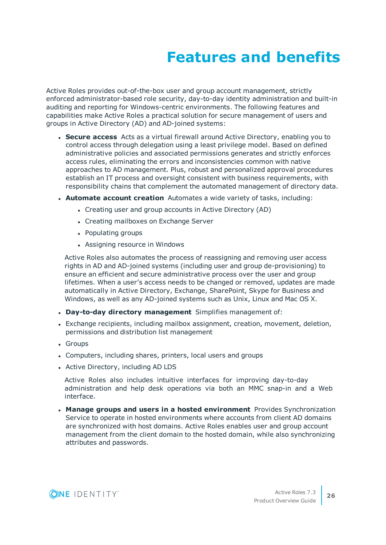# **Features and benefits**

<span id="page-29-0"></span>Active Roles provides out-of-the-box user and group account management, strictly enforced administrator-based role security, day-to-day identity administration and built-in auditing and reporting for Windows-centric environments. The following features and capabilities make Active Roles a practical solution for secure management of users and groups in Active Directory (AD) and AD-joined systems:

- **. Secure access** Acts as a virtual firewall around Active Directory, enabling you to control access through delegation using a least privilege model. Based on defined administrative policies and associated permissions generates and strictly enforces access rules, eliminating the errors and inconsistencies common with native approaches to AD management. Plus, robust and personalized approval procedures establish an IT process and oversight consistent with business requirements, with responsibility chains that complement the automated management of directory data.
- **Automate account creation** Automates a wide variety of tasks, including:
	- Creating user and group accounts in Active Directory (AD)
	- Creating mailboxes on Exchange Server
	- Populating groups
	- Assigning resource in Windows

Active Roles also automates the process of reassigning and removing user access rights in AD and AD-joined systems (including user and group de-provisioning) to ensure an efficient and secure administrative process over the user and group lifetimes. When a user's access needs to be changed or removed, updates are made automatically in Active Directory, Exchange, SharePoint, Skype for Business and Windows, as well as any AD-joined systems such as Unix, Linux and Mac OS X.

- <sup>l</sup> **Day-to-day directory management** Simplifies management of:
- Exchange recipients, including mailbox assignment, creation, movement, deletion, permissions and distribution list management
- Groups
- Computers, including shares, printers, local users and groups
- Active Directory, including AD LDS

Active Roles also includes intuitive interfaces for improving day-to-day administration and help desk operations via both an MMC snap-in and a Web interface.

<sup>l</sup> **Manage groups and users in a hosted environment** Provides Synchronization Service to operate in hosted environments where accounts from client AD domains are synchronized with host domains. Active Roles enables user and group account management from the client domain to the hosted domain, while also synchronizing attributes and passwords.

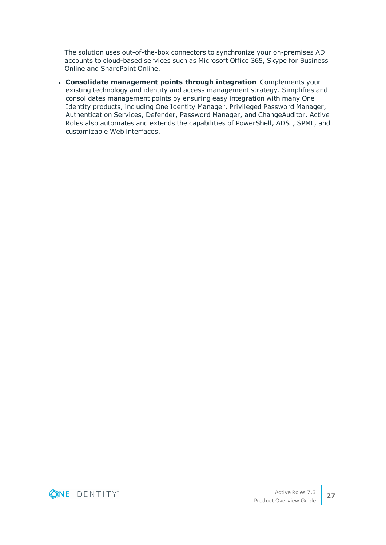The solution uses out-of-the-box connectors to synchronize your on-premises AD accounts to cloud-based services such as Microsoft Office 365, Skype for Business Online and SharePoint Online.

<sup>l</sup> **Consolidate management points through integration** Complements your existing technology and identity and access management strategy. Simplifies and consolidates management points by ensuring easy integration with many One Identity products, including One Identity Manager, Privileged Password Manager, Authentication Services, Defender, Password Manager, and ChangeAuditor. Active Roles also automates and extends the capabilities of PowerShell, ADSI, SPML, and customizable Web interfaces.